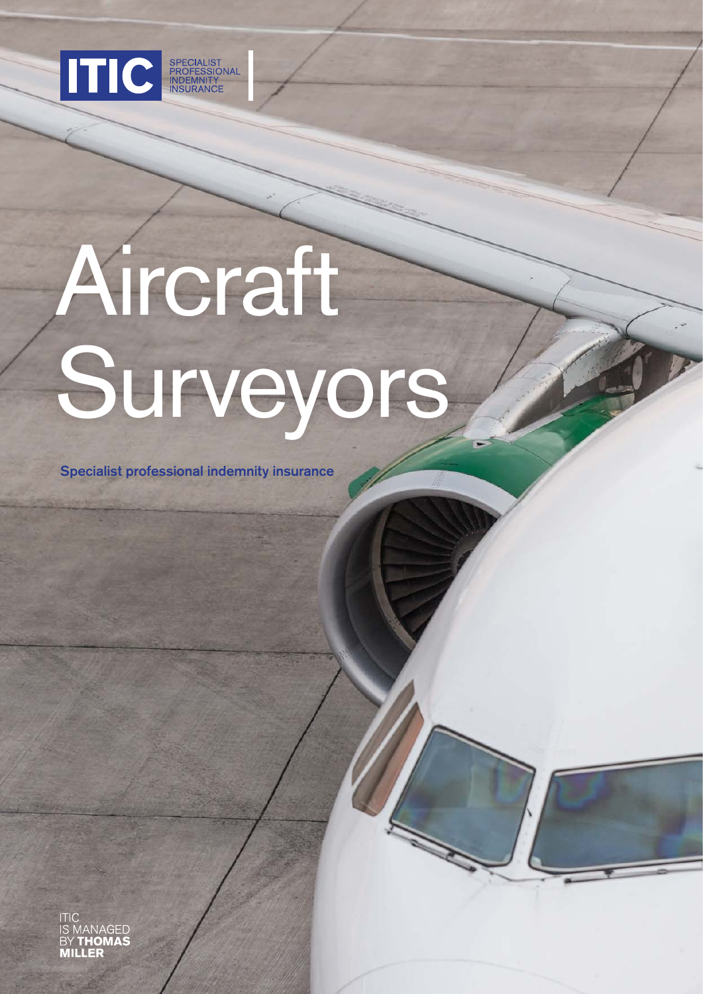

# Aircraft Surveyors

Specialist professional indemnity insurance

**GED**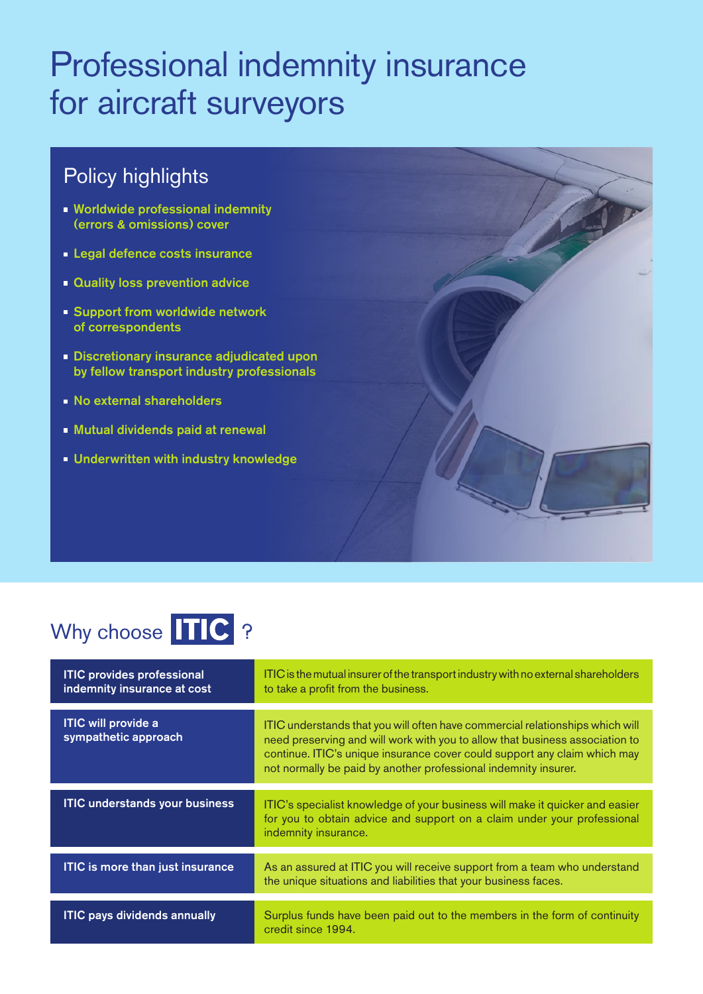## Professional indemnity insurance for aircraft surveyors

## Policy highlights

- **Worldwide professional indemnity** (errors & omissions) cover
- **Legal defence costs insurance**
- **Quality loss prevention advice**
- **Support from worldwide network** of correspondents
- **Discretionary insurance adjudicated upon** by fellow transport industry professionals
- **No external shareholders**
- Mutual dividends paid at renewal
- **Underwritten with industry knowledge**

## Why choose TTC ?

| <b>ITIC provides professional</b><br>indemnity insurance at cost | ITIC is the mutual insurer of the transport industry with no external shareholders<br>to take a profit from the business.                                                                                                                                                                                     |
|------------------------------------------------------------------|---------------------------------------------------------------------------------------------------------------------------------------------------------------------------------------------------------------------------------------------------------------------------------------------------------------|
|                                                                  |                                                                                                                                                                                                                                                                                                               |
| <b>ITIC will provide a</b><br>sympathetic approach               | ITIC understands that you will often have commercial relationships which will<br>need preserving and will work with you to allow that business association to<br>continue. ITIC's unique insurance cover could support any claim which may<br>not normally be paid by another professional indemnity insurer. |
|                                                                  |                                                                                                                                                                                                                                                                                                               |
| <b>ITIC understands your business</b>                            | ITIC's specialist knowledge of your business will make it quicker and easier<br>for you to obtain advice and support on a claim under your professional<br>indemnity insurance.                                                                                                                               |
|                                                                  |                                                                                                                                                                                                                                                                                                               |
| <b>ITIC is more than just insurance</b>                          | As an assured at ITIC you will receive support from a team who understand<br>the unique situations and liabilities that your business faces.                                                                                                                                                                  |
|                                                                  |                                                                                                                                                                                                                                                                                                               |
| <b>ITIC pays dividends annually</b>                              | Surplus funds have been paid out to the members in the form of continuity<br>credit since 1994.                                                                                                                                                                                                               |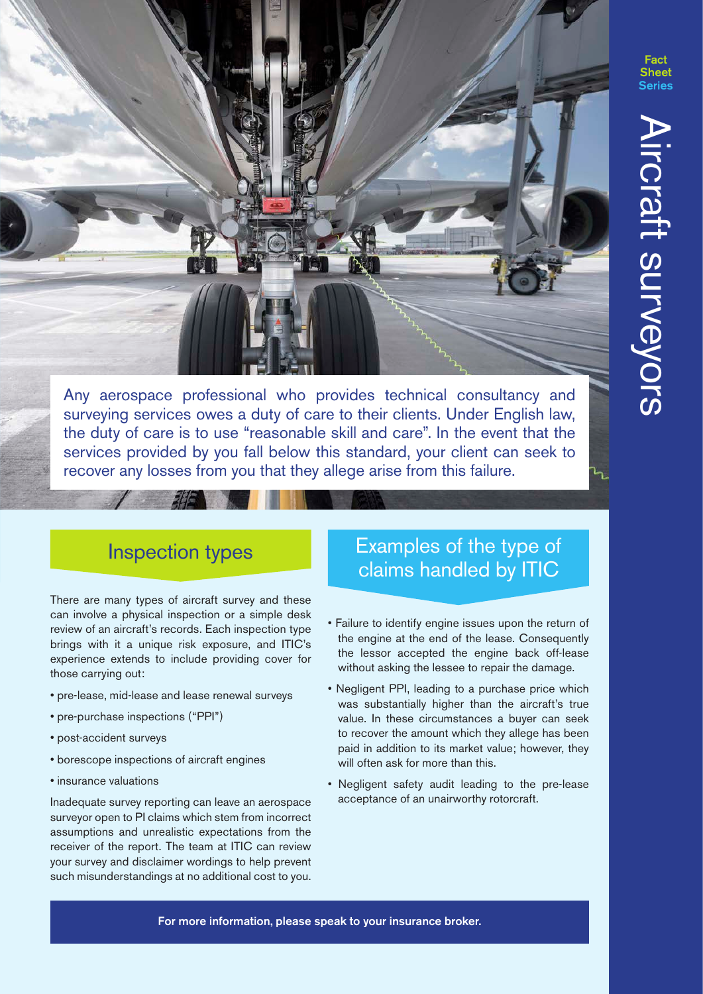Any aerospace professional who provides technical consultancy and surveying services owes a duty of care to their clients. Under English law, the duty of care is to use "reasonable skill and care". In the event that the services provided by you fall below this standard, your client can seek to recover any losses from you that they allege arise from this failure.

### Inspection types

There are many types of aircraft survey and these can involve a physical inspection or a simple desk review of an aircraft's records. Each inspection type brings with it a unique risk exposure, and ITIC's experience extends to include providing cover for those carrying out:

- pre-lease, mid-lease and lease renewal surveys
- pre-purchase inspections ("PPI")
- post-accident surveys
- borescope inspections of aircraft engines
- insurance valuations

Inadequate survey reporting can leave an aerospace surveyor open to PI claims which stem from incorrect assumptions and unrealistic expectations from the receiver of the report. The team at ITIC can review your survey and disclaimer wordings to help prevent such misunderstandings at no additional cost to you.

#### Examples of the type of claims handled by ITIC

- Failure to identify engine issues upon the return of the engine at the end of the lease. Consequently the lessor accepted the engine back off-lease without asking the lessee to repair the damage.
- Negligent PPI, leading to a purchase price which was substantially higher than the aircraft's true value. In these circumstances a buyer can seek to recover the amount which they allege has been paid in addition to its market value; however, they will often ask for more than this.
- Negligent safety audit leading to the pre-lease acceptance of an unairworthy rotorcraft.

For more information, please speak to your insurance broker.